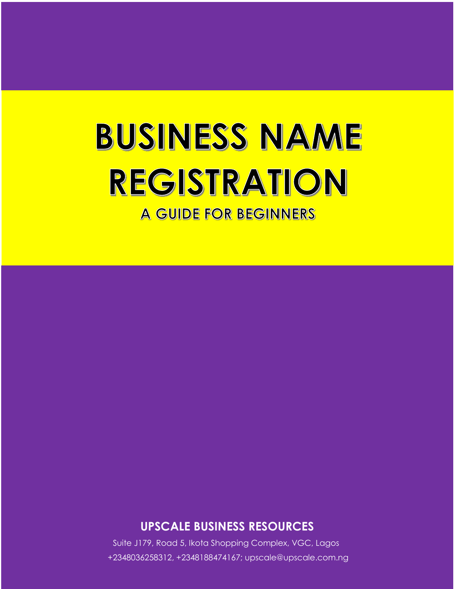# **BUSINESS NAME** REGISTRATION

**A GUIDE FOR BEGINNERS** 

**UPSCALE BUSINESS RESOURCES**

Suite J179, Road 5, Ikota Shopping Complex, VGC, Lagos +2348036258312, +2348188474167; upscale@upscale.com.ng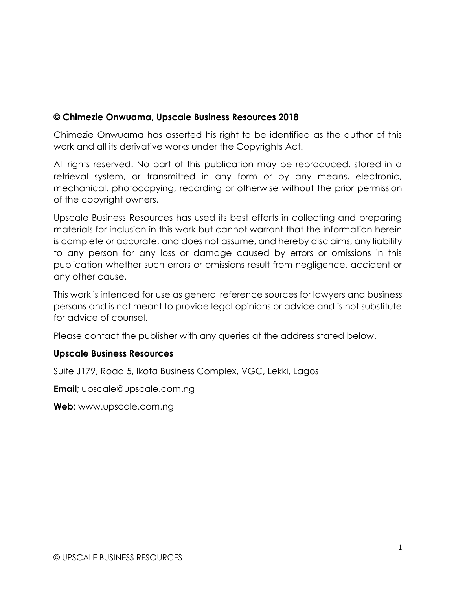# **© Chimezie Onwuama, Upscale Business Resources 2018**

Chimezie Onwuama has asserted his right to be identified as the author of this work and all its derivative works under the Copyrights Act.

All rights reserved. No part of this publication may be reproduced, stored in a retrieval system, or transmitted in any form or by any means, electronic, mechanical, photocopying, recording or otherwise without the prior permission of the copyright owners.

Upscale Business Resources has used its best efforts in collecting and preparing materials for inclusion in this work but cannot warrant that the information herein is complete or accurate, and does not assume, and hereby disclaims, any liability to any person for any loss or damage caused by errors or omissions in this publication whether such errors or omissions result from negligence, accident or any other cause.

This work is intended for use as general reference sources for lawyers and business persons and is not meant to provide legal opinions or advice and is not substitute for advice of counsel.

Please contact the publisher with any queries at the address stated below.

# **Upscale Business Resources**

Suite J179, Road 5, Ikota Business Complex, VGC, Lekki, Lagos

**Email**; upscale@upscale.com.ng

**Web**: www.upscale.com.ng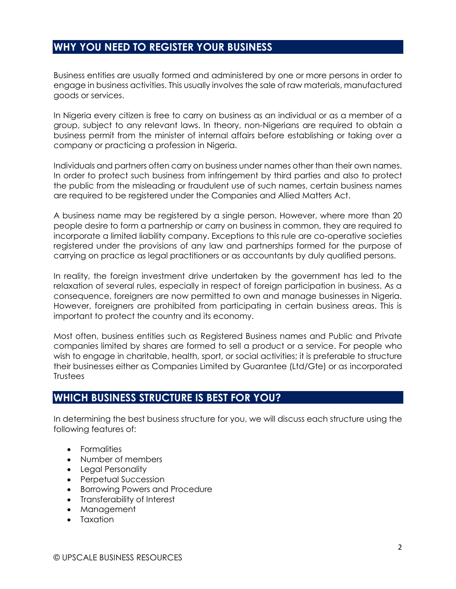# **WHY YOU NEED TO REGISTER YOUR BUSINESS**

Business entities are usually formed and administered by one or more persons in order to engage in business activities. This usually involves the sale of raw materials, manufactured goods or services.

In Nigeria every citizen is free to carry on business as an individual or as a member of a group, subject to any relevant laws. In theory, non-Nigerians are required to obtain a business permit from the minister of internal affairs before establishing or taking over a company or practicing a profession in Nigeria.

Individuals and partners often carry on business under names other than their own names. In order to protect such business from infringement by third parties and also to protect the public from the misleading or fraudulent use of such names, certain business names are required to be registered under the Companies and Allied Matters Act.

A business name may be registered by a single person. However, where more than 20 people desire to form a partnership or carry on business in common, they are required to incorporate a limited liability company. Exceptions to this rule are co-operative societies registered under the provisions of any law and partnerships formed for the purpose of carrying on practice as legal practitioners or as accountants by duly qualified persons.

In reality, the foreign investment drive undertaken by the government has led to the relaxation of several rules, especially in respect of foreign participation in business. As a consequence, foreigners are now permitted to own and manage businesses in Nigeria. However, foreigners are prohibited from participating in certain business areas. This is important to protect the country and its economy.

Most often, business entities such as Registered Business names and Public and Private companies limited by shares are formed to sell a product or a service. For people who wish to engage in charitable, health, sport, or social activities; it is preferable to structure their businesses either as Companies Limited by Guarantee (Ltd/Gte) or as incorporated **Trustees** 

# **WHICH BUSINESS STRUCTURE IS BEST FOR YOU?**

In determining the best business structure for you, we will discuss each structure using the following features of:

- Formalities
- Number of members
- Legal Personality
- Perpetual Succession
- **•** Borrowing Powers and Procedure
- Transferability of Interest
- Management
- Taxation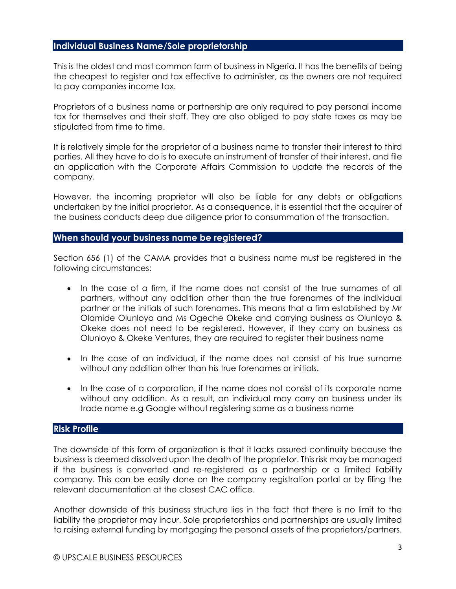#### **Individual Business Name/Sole proprietorship**

This is the oldest and most common form of business in Nigeria. It has the benefits of being the cheapest to register and tax effective to administer, as the owners are not required to pay companies income tax.

Proprietors of a business name or partnership are only required to pay personal income tax for themselves and their staff. They are also obliged to pay state taxes as may be stipulated from time to time.

It is relatively simple for the proprietor of a business name to transfer their interest to third parties. All they have to do is to execute an instrument of transfer of their interest, and file an application with the Corporate Affairs Commission to update the records of the company.

However, the incoming proprietor will also be liable for any debts or obligations undertaken by the initial proprietor. As a consequence, it is essential that the acquirer of the business conducts deep due diligence prior to consummation of the transaction.

#### **When should your business name be registered?**

Section 656 (1) of the CAMA provides that a business name must be registered in the following circumstances:

- In the case of a firm, if the name does not consist of the true surnames of all partners, without any addition other than the true forenames of the individual partner or the initials of such forenames. This means that a firm established by Mr Olamide Olunloyo and Ms Ogeche Okeke and carrying business as Olunloyo & Okeke does not need to be registered. However, if they carry on business as Olunloyo & Okeke Ventures, they are required to register their business name
- In the case of an individual, if the name does not consist of his true surname without any addition other than his true forenames or initials.
- In the case of a corporation, if the name does not consist of its corporate name without any addition. As a result, an individual may carry on business under its trade name e.g Google without registering same as a business name

# **Risk Profile**

The downside of this form of organization is that it lacks assured continuity because the business is deemed dissolved upon the death of the proprietor. This risk may be managed if the business is converted and re-registered as a partnership or a limited liability company. This can be easily done on the company registration portal or by filing the relevant documentation at the closest CAC office.

Another downside of this business structure lies in the fact that there is no limit to the liability the proprietor may incur. Sole proprietorships and partnerships are usually limited to raising external funding by mortgaging the personal assets of the proprietors/partners.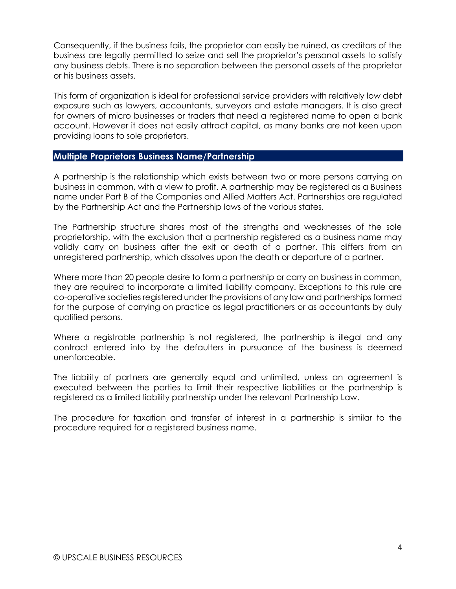Consequently, if the business fails, the proprietor can easily be ruined, as creditors of the business are legally permitted to seize and sell the proprietor's personal assets to satisfy any business debts. There is no separation between the personal assets of the proprietor or his business assets.

This form of organization is ideal for professional service providers with relatively low debt exposure such as lawyers, accountants, surveyors and estate managers. It is also great for owners of micro businesses or traders that need a registered name to open a bank account. However it does not easily attract capital, as many banks are not keen upon providing loans to sole proprietors.

#### **Multiple Proprietors Business Name/Partnership**

A partnership is the relationship which exists between two or more persons carrying on business in common, with a view to profit. A partnership may be registered as a Business name under Part B of the Companies and Allied Matters Act. Partnerships are regulated by the Partnership Act and the Partnership laws of the various states.

The Partnership structure shares most of the strengths and weaknesses of the sole proprietorship, with the exclusion that a partnership registered as a business name may validly carry on business after the exit or death of a partner. This differs from an unregistered partnership, which dissolves upon the death or departure of a partner.

Where more than 20 people desire to form a partnership or carry on business in common, they are required to incorporate a limited liability company. Exceptions to this rule are co-operative societies registered under the provisions of any law and partnerships formed for the purpose of carrying on practice as legal practitioners or as accountants by duly qualified persons.

Where a registrable partnership is not registered, the partnership is illegal and any contract entered into by the defaulters in pursuance of the business is deemed unenforceable.

The liability of partners are generally equal and unlimited, unless an agreement is executed between the parties to limit their respective liabilities or the partnership is registered as a limited liability partnership under the relevant Partnership Law.

The procedure for taxation and transfer of interest in a partnership is similar to the procedure required for a registered business name.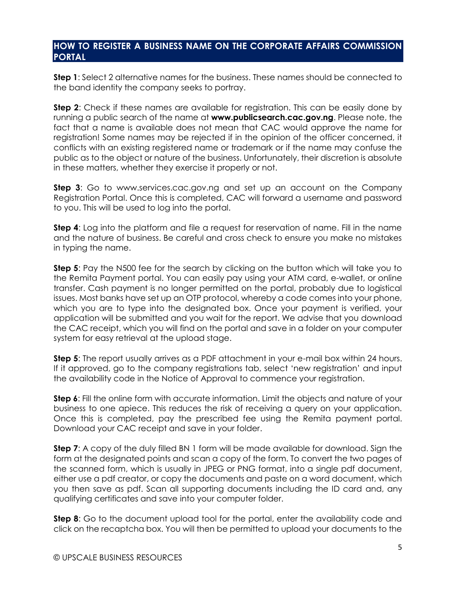# **HOW TO REGISTER A BUSINESS NAME ON THE CORPORATE AFFAIRS COMMISSION PORTAL**

**Step 1**: Select 2 alternative names for the business. These names should be connected to the band identity the company seeks to portray.

**Step 2**: Check if these names are available for registration. This can be easily done by running a public search of the name at **www.publicsearch.cac.gov.ng**. Please note, the fact that a name is available does not mean that CAC would approve the name for registration! Some names may be rejected if in the opinion of the officer concerned, it conflicts with an existing registered name or trademark or if the name may confuse the public as to the object or nature of the business. Unfortunately, their discretion is absolute in these matters, whether they exercise it properly or not.

**Step 3**: Go to www.services.cac.gov.ng and set up an account on the Company Registration Portal. Once this is completed, CAC will forward a username and password to you. This will be used to log into the portal.

**Step 4**: Log into the platform and file a request for reservation of name. Fill in the name and the nature of business. Be careful and cross check to ensure you make no mistakes in typing the name.

**Step 5**: Pay the N500 fee for the search by clicking on the button which will take you to the Remita Payment portal. You can easily pay using your ATM card, e-wallet, or online transfer. Cash payment is no longer permitted on the portal, probably due to logistical issues. Most banks have set up an OTP protocol, whereby a code comes into your phone, which you are to type into the designated box. Once your payment is verified, your application will be submitted and you wait for the report. We advise that you download the CAC receipt, which you will find on the portal and save in a folder on your computer system for easy retrieval at the upload stage.

**Step 5**: The report usually arrives as a PDF attachment in your e-mail box within 24 hours. If it approved, go to the company registrations tab, select 'new registration' and input the availability code in the Notice of Approval to commence your registration.

**Step 6:** Fill the online form with accurate information. Limit the objects and nature of your business to one apiece. This reduces the risk of receiving a query on your application. Once this is completed, pay the prescribed fee using the Remita payment portal. Download your CAC receipt and save in your folder.

**Step 7:** A copy of the duly filled BN 1 form will be made available for download. Sign the form at the designated points and scan a copy of the form. To convert the two pages of the scanned form, which is usually in JPEG or PNG format, into a single pdf document, either use a pdf creator, or copy the documents and paste on a word document, which you then save as pdf. Scan all supporting documents including the ID card and, any qualifying certificates and save into your computer folder.

**Step 8:** Go to the document upload tool for the portal, enter the availability code and click on the recaptcha box. You will then be permitted to upload your documents to the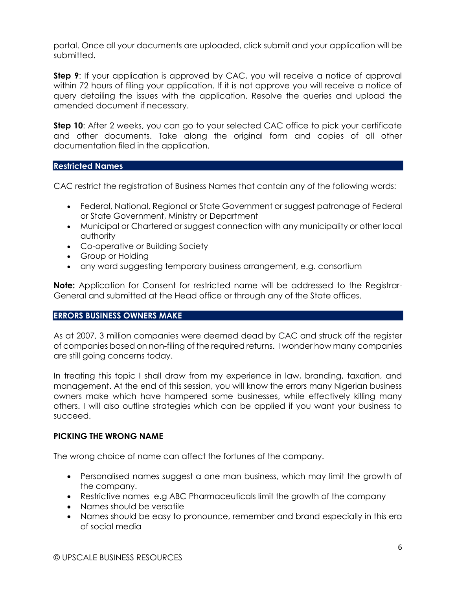portal. Once all your documents are uploaded, click submit and your application will be submitted.

**Step 9:** If your application is approved by CAC, you will receive a notice of approval within 72 hours of filing your application. If it is not approve you will receive a notice of query detailing the issues with the application. Resolve the queries and upload the amended document if necessary.

**Step 10**: After 2 weeks, you can go to your selected CAC office to pick your certificate and other documents. Take along the original form and copies of all other documentation filed in the application.

#### **Restricted Names**

CAC restrict the registration of Business Names that contain any of the following words:

- Federal, National, Regional or State Government or suggest patronage of Federal or State Government, Ministry or Department
- Municipal or Chartered or suggest connection with any municipality or other local authority
- Co-operative or Building Society
- Group or Holding
- any word suggesting temporary business arrangement, e.g. consortium

**Note:** Application for Consent for restricted name will be addressed to the Registrar-General and submitted at the Head office or through any of the State offices.

# **ERRORS BUSINESS OWNERS MAKE**

As at 2007, 3 million companies were deemed dead by CAC and struck off the register of companies based on non-filing of the required returns. I wonder how many companies are still going concerns today.

In treating this topic I shall draw from my experience in law, branding, taxation, and management. At the end of this session, you will know the errors many Nigerian business owners make which have hampered some businesses, while effectively killing many others. I will also outline strategies which can be applied if you want your business to succeed.

# **PICKING THE WRONG NAME**

The wrong choice of name can affect the fortunes of the company.

- Personalised names suggest a one man business, which may limit the growth of the company.
- Restrictive names e.g ABC Pharmaceuticals limit the growth of the company
- Names should be versatile
- Names should be easy to pronounce, remember and brand especially in this era of social media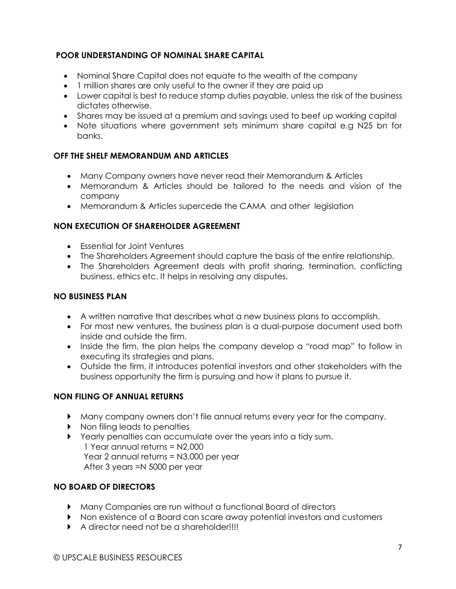# **POOR UNDERSTANDING OF NOMINAL SHARE CAPITAL**

- Nominal Share Capital does not equate to the wealth of the company
- 1 million shares are only useful to the owner if they are paid up
- Lower capital is best to reduce stamp duties payable, unless the risk of the business dictates otherwise.
- Shares may be issued at a premium and savings used to beef up working capital
- Note situations where government sets minimum share capital e.g N25 bn for banks.

# **OFF THE SHELF MEMORANDUM AND ARTICLES**

- Many Company owners have never read their Memorandum & Articles
- Memorandum & Articles should be tailored to the needs and vision of the company
- Memorandum & Articles supercede the CAMA and other legislation

#### **NON EXECUTION OF SHAREHOLDER AGREEMENT**

- Essential for Joint Ventures
- The Shareholders Agreement should capture the basis of the entire relationship.
- The Shareholders Agreement deals with profit sharing, termination, conflicting business, ethics etc. It helps in resolving any disputes.

#### **NO BUSINESS PLAN**

- A written narrative that describes what a new business plans to accomplish.
- For most new ventures, the business plan is a dual-purpose document used both inside and outside the firm.
- Inside the firm, the plan helps the company develop a "road map" to follow in executing its strategies and plans.
- Outside the firm, it introduces potential investors and other stakeholders with the business opportunity the firm is pursuing and how it plans to pursue it.

# **NON FILING OF ANNUAL RETURNS**

- Many company owners don't file annual returns every year for the company.
- ▶ Non filing leads to penalties
- Yearly penalties can accumulate over the years into a tidy sum. 1 Year annual returns = N2,000 Year 2 annual returns = N3,000 per year After 3 years =N 5000 per year

# **NO BOARD OF DIRECTORS**

- Many Companies are run without a functional Board of directors
- Non existence of a Board can scare away potential investors and customers
- A director need not be a shareholder!!!!